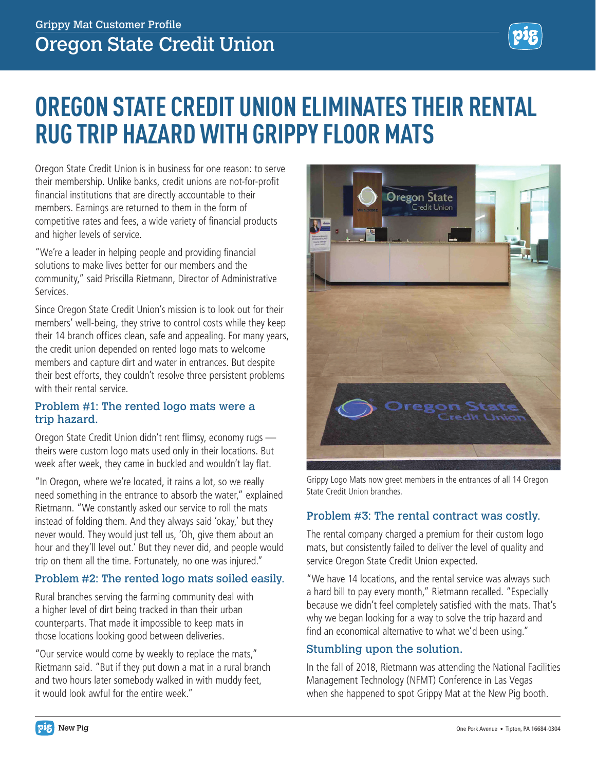# **OREGON STATE CREDIT UNION ELIMINATES THEIR RENTAL RUG TRIP HAZARD WITH GRIPPY FLOOR MATS**

Oregon State Credit Union is in business for one reason: to serve their membership. Unlike banks, credit unions are not-for-profit financial institutions that are directly accountable to their members. Earnings are returned to them in the form of competitive rates and fees, a wide variety of financial products and higher levels of service.

"We're a leader in helping people and providing financial solutions to make lives better for our members and the community," said Priscilla Rietmann, Director of Administrative Services.

Since Oregon State Credit Union's mission is to look out for their members' well-being, they strive to control costs while they keep their 14 branch offices clean, safe and appealing. For many years, the credit union depended on rented logo mats to welcome members and capture dirt and water in entrances. But despite their best efforts, they couldn't resolve three persistent problems with their rental service.

### Problem #1: The rented logo mats were a trip hazard.

Oregon State Credit Union didn't rent flimsy, economy rugs theirs were custom logo mats used only in their locations. But week after week, they came in buckled and wouldn't lay flat.

"In Oregon, where we're located, it rains a lot, so we really need something in the entrance to absorb the water," explained Rietmann. "We constantly asked our service to roll the mats instead of folding them. And they always said 'okay,' but they never would. They would just tell us, 'Oh, give them about an hour and they'll level out.' But they never did, and people would trip on them all the time. Fortunately, no one was injured."

# Problem #2: The rented logo mats soiled easily.

Rural branches serving the farming community deal with a higher level of dirt being tracked in than their urban counterparts. That made it impossible to keep mats in those locations looking good between deliveries.

"Our service would come by weekly to replace the mats," Rietmann said. "But if they put down a mat in a rural branch and two hours later somebody walked in with muddy feet, it would look awful for the entire week."



Grippy Logo Mats now greet members in the entrances of all 14 Oregon State Credit Union branches.

#### Problem #3: The rental contract was costly.

The rental company charged a premium for their custom logo mats, but consistently failed to deliver the level of quality and service Oregon State Credit Union expected.

"We have 14 locations, and the rental service was always such a hard bill to pay every month," Rietmann recalled. "Especially because we didn't feel completely satisfied with the mats. That's why we began looking for a way to solve the trip hazard and find an economical alternative to what we'd been using."

### Stumbling upon the solution.

In the fall of 2018, Rietmann was attending the National Facilities Management Technology (NFMT) Conference in Las Vegas when she happened to spot Grippy Mat at the New Pig booth.